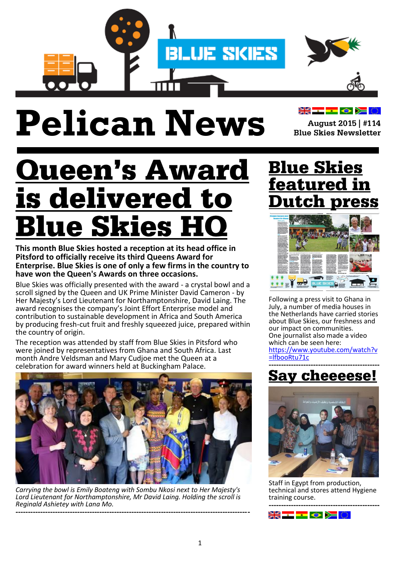

# **Pelican News**

▓▓▅▅<mark>▅</mark>▗▅▓▓

August 2015 | #114 **Blue Skies Newsletter** 

## **Queen's Award s delivered to** lue Skies l

**This month Blue Skies hosted a reception at its head office in Pitsford to officially receive its third Queens Award for Enterprise. Blue Skies is one of only a few firms in the country to have won the Queen's Awards on three occasions.**

Blue Skies was officially presented with the award - a crystal bowl and a scroll signed by the Queen and UK Prime Minister David Cameron - by Her Majesty's Lord Lieutenant for Northamptonshire, David Laing. The award recognises the company's Joint Effort Enterprise model and contribution to sustainable development in Africa and South America by producing fresh-cut fruit and freshly squeezed juice, prepared within the country of origin.

The reception was attended by staff from Blue Skies in Pitsford who were joined by representatives from Ghana and South Africa. Last month Andre Veldsman and Mary Cudjoe met the Queen at a celebration for award winners held at Buckingham Palace.



*Carrying the bowl is Emily Boateng with Sombu Nkosi next to Her Majesty's Lord Lieutenant for Northamptonshire, Mr David Laing. Holding the scroll is Reginald Ashietey with Lana Mo.*

**-----------------------------------------------------------------------------------------------**

### **Blue Skies** eatured in ıtch



Following a press visit to Ghana in July, a number of media houses in the Netherlands have carried stories about Blue Skies, our freshness and our impact on communities. One journalist also made a video which can be seen here: [https://www.youtube.com/watch?v](https://www.youtube.com/watch?v=lfbooRtu71c) [=lfbooRtu71c](https://www.youtube.com/watch?v=lfbooRtu71c)

#### **--------------------------------------------- Say cheeeese!**



Staff in Egypt from production, technical and stores attend Hygiene training course. **---------------------------------------------**

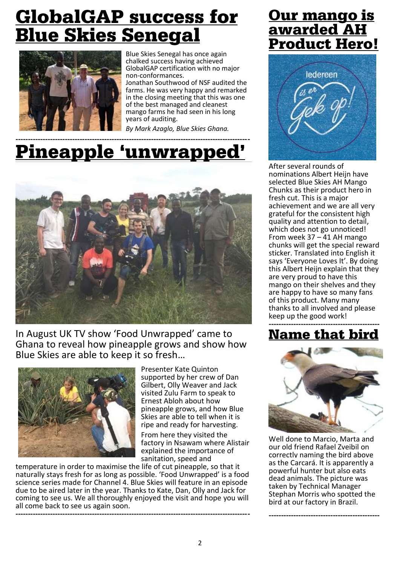### **GlobalGAP success for** <u>Blue Skies Senegal</u>



Blue Skies Senegal has once again chalked success having achieved GlobalGAP certification with no major non-conformances.

Jonathan Southwood of NSF audited the farms. He was very happy and remarked in the closing meeting that this was one of the best managed and cleanest mango farms he had seen in his long years of auditing.

*By Mark Azaglo, Blue Skies Ghana.*

#### **-----------------------------------------------------------------------------------------------** <u>Pineapple 'unwrapped'</u>



In August UK TV show 'Food Unwrapped' came to Ghana to reveal how pineapple grows and show how Blue Skies are able to keep it so fresh…



Presenter Kate Quinton supported by her crew of Dan Gilbert, Olly Weaver and Jack visited Zulu Farm to speak to Ernest Abloh about how pineapple grows, and how Blue Skies are able to tell when it is ripe and ready for harvesting.

From here they visited the factory in Nsawam where Alistair explained the importance of sanitation, speed and

temperature in order to maximise the life of cut pineapple, so that it naturally stays fresh for as long as possible. 'Food Unwrapped' is a food science series made for Channel 4. Blue Skies will feature in an episode due to be aired later in the year. Thanks to Kate, Dan, Olly and Jack for coming to see us. We all thoroughly enjoyed the visit and hope you will all come back to see us again soon. **-----------------------------------------------------------------------------------------------**

### <u>Our mango is</u> awarded AH **Product Hero!**



After several rounds of nominations Albert Heijn have selected Blue Skies AH Mango Chunks as their product hero in fresh cut. This is a major achievement and we are all very grateful for the consistent high quality and attention to detail, which does not go unnoticed! From week 37 – 41 AH mango chunks will get the special reward sticker. Translated into English it says 'Everyone Loves It'. By doing this Albert Heijn explain that they are very proud to have this mango on their shelves and they are happy to have so many fans of this product. Many many thanks to all involved and please keep up the good work!

#### **--------------------------------------------- Name that bird**



Well done to Marcio, Marta and our old friend Rafael Zveibil on correctly naming the bird above as the Carcará. It is apparently a powerful hunter but also eats dead animals. The picture was taken by Technical Manager Stephan Morris who spotted the bird at our factory in Brazil.

**---------------------------------------------**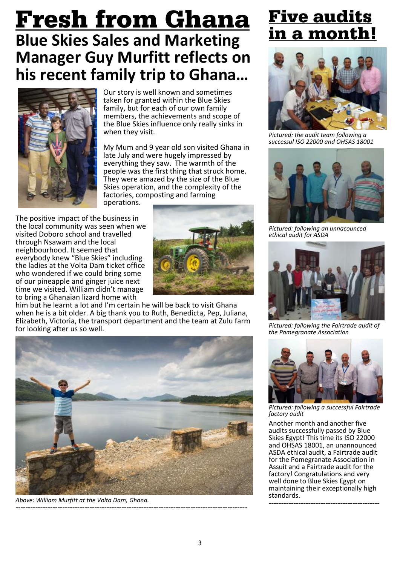### <u>Fresh from Ghana</u> **Blue Skies Sales and Marketing Manager Guy Murfitt reflects on his recent family trip to Ghana…**



Our story is well known and sometimes taken for granted within the Blue Skies family, but for each of our own family members, the achievements and scope of the Blue Skies influence only really sinks in when they visit.

My Mum and 9 year old son visited Ghana in late July and were hugely impressed by everything they saw. The warmth of the people was the first thing that struck home. They were amazed by the size of the Blue Skies operation, and the complexity of the factories, composting and farming operations.

The positive impact of the business in the local community was seen when we visited Doboro school and travelled through Nsawam and the local neighbourhood. It seemed that everybody knew "Blue Skies" including the ladies at the Volta Dam ticket office who wondered if we could bring some of our pineapple and ginger juice next time we visited. William didn't manage to bring a Ghanaian lizard home with



him but he learnt a lot and I'm certain he will be back to visit Ghana when he is a bit older. A big thank you to Ruth, Benedicta, Pep, Juliana, Elizabeth, Victoria, the transport department and the team at Zulu farm for looking after us so well.



*Above: William Murfitt at the Volta Dam, Ghana.* **----------------------------------------------------------------------------------------------**

### **Five audits** 1 a month!



*Pictured: the audit team following a successul ISO 22000 and OHSAS 18001*



*Pictured: following an unnacounced ethical audit for ASDA*



*Pictured: following the Fairtrade audit of the Pomegranate Association*



*Pictured: following a successful Fairtrade factory audit*

Another month and another five audits successfully passed by Blue Skies Egypt! This time its ISO 22000 and OHSAS 18001, an unannounced ASDA ethical audit, a Fairtrade audit for the Pomegranate Association in Assuit and a Fairtrade audit for the factory! Congratulations and very well done to Blue Skies Egypt on maintaining their exceptionally high standards.

**---------------------------------------------**